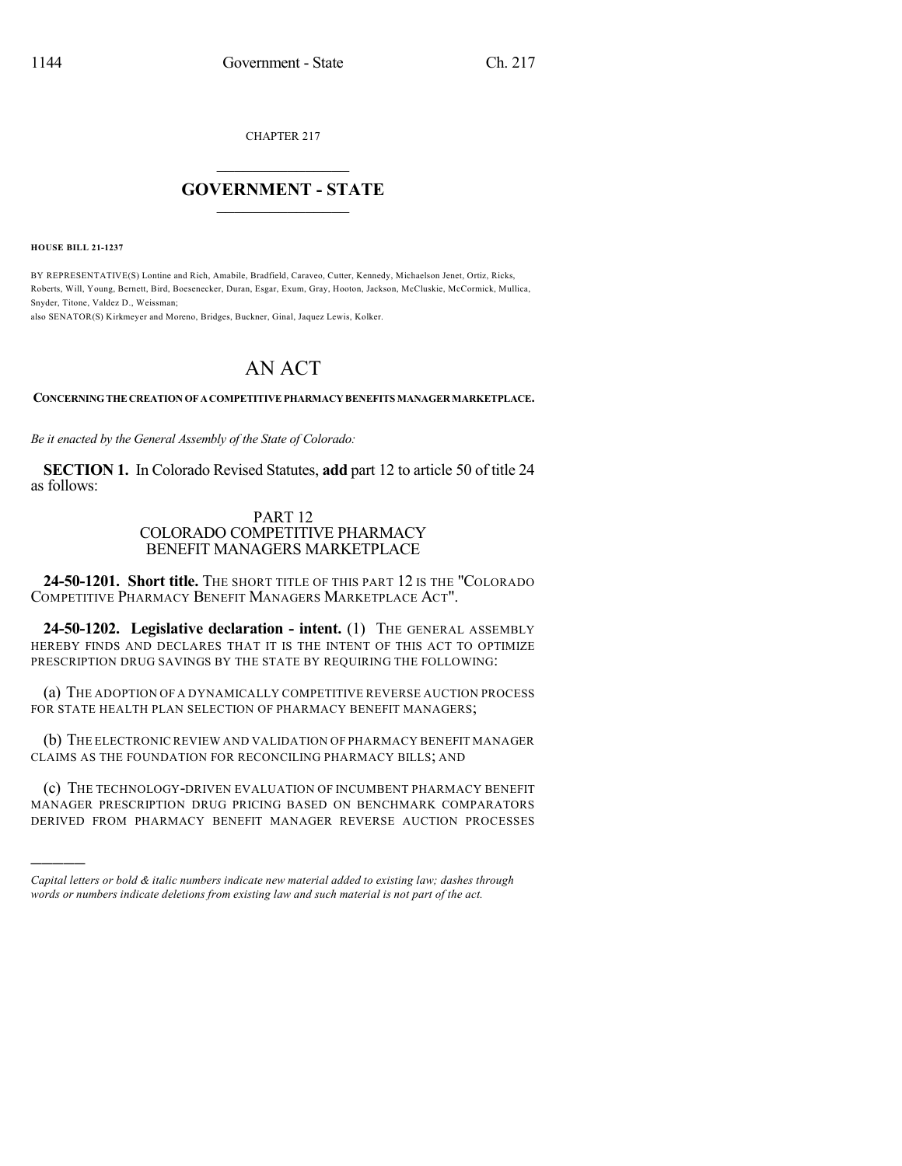CHAPTER 217

## $\mathcal{L}_\text{max}$  . The set of the set of the set of the set of the set of the set of the set of the set of the set of the set of the set of the set of the set of the set of the set of the set of the set of the set of the set **GOVERNMENT - STATE**  $\_$   $\_$   $\_$   $\_$   $\_$   $\_$   $\_$   $\_$   $\_$

**HOUSE BILL 21-1237**

)))))

BY REPRESENTATIVE(S) Lontine and Rich, Amabile, Bradfield, Caraveo, Cutter, Kennedy, Michaelson Jenet, Ortiz, Ricks, Roberts, Will, Young, Bernett, Bird, Boesenecker, Duran, Esgar, Exum, Gray, Hooton, Jackson, McCluskie, McCormick, Mullica, Snyder, Titone, Valdez D., Weissman;

also SENATOR(S) Kirkmeyer and Moreno, Bridges, Buckner, Ginal, Jaquez Lewis, Kolker.

## AN ACT

## **CONCERNINGTHE CREATION OF ACOMPETITIVEPHARMACY BENEFITS MANAGERMARKETPLACE.**

*Be it enacted by the General Assembly of the State of Colorado:*

**SECTION 1.** In Colorado Revised Statutes, **add** part 12 to article 50 of title 24 as follows:

## PART 12 COLORADO COMPETITIVE PHARMACY BENEFIT MANAGERS MARKETPLACE

24-50-1201. Short title. The SHORT TITLE OF THIS PART 12 IS THE "COLORADO COMPETITIVE PHARMACY BENEFIT MANAGERS MARKETPLACE ACT".

**24-50-1202. Legislative declaration - intent.** (1) THE GENERAL ASSEMBLY HEREBY FINDS AND DECLARES THAT IT IS THE INTENT OF THIS ACT TO OPTIMIZE PRESCRIPTION DRUG SAVINGS BY THE STATE BY REQUIRING THE FOLLOWING:

(a) THE ADOPTION OF A DYNAMICALLY COMPETITIVE REVERSE AUCTION PROCESS FOR STATE HEALTH PLAN SELECTION OF PHARMACY BENEFIT MANAGERS;

(b) THE ELECTRONIC REVIEW AND VALIDATION OF PHARMACY BENEFIT MANAGER CLAIMS AS THE FOUNDATION FOR RECONCILING PHARMACY BILLS; AND

(c) THE TECHNOLOGY-DRIVEN EVALUATION OF INCUMBENT PHARMACY BENEFIT MANAGER PRESCRIPTION DRUG PRICING BASED ON BENCHMARK COMPARATORS DERIVED FROM PHARMACY BENEFIT MANAGER REVERSE AUCTION PROCESSES

*Capital letters or bold & italic numbers indicate new material added to existing law; dashes through words or numbers indicate deletions from existing law and such material is not part of the act.*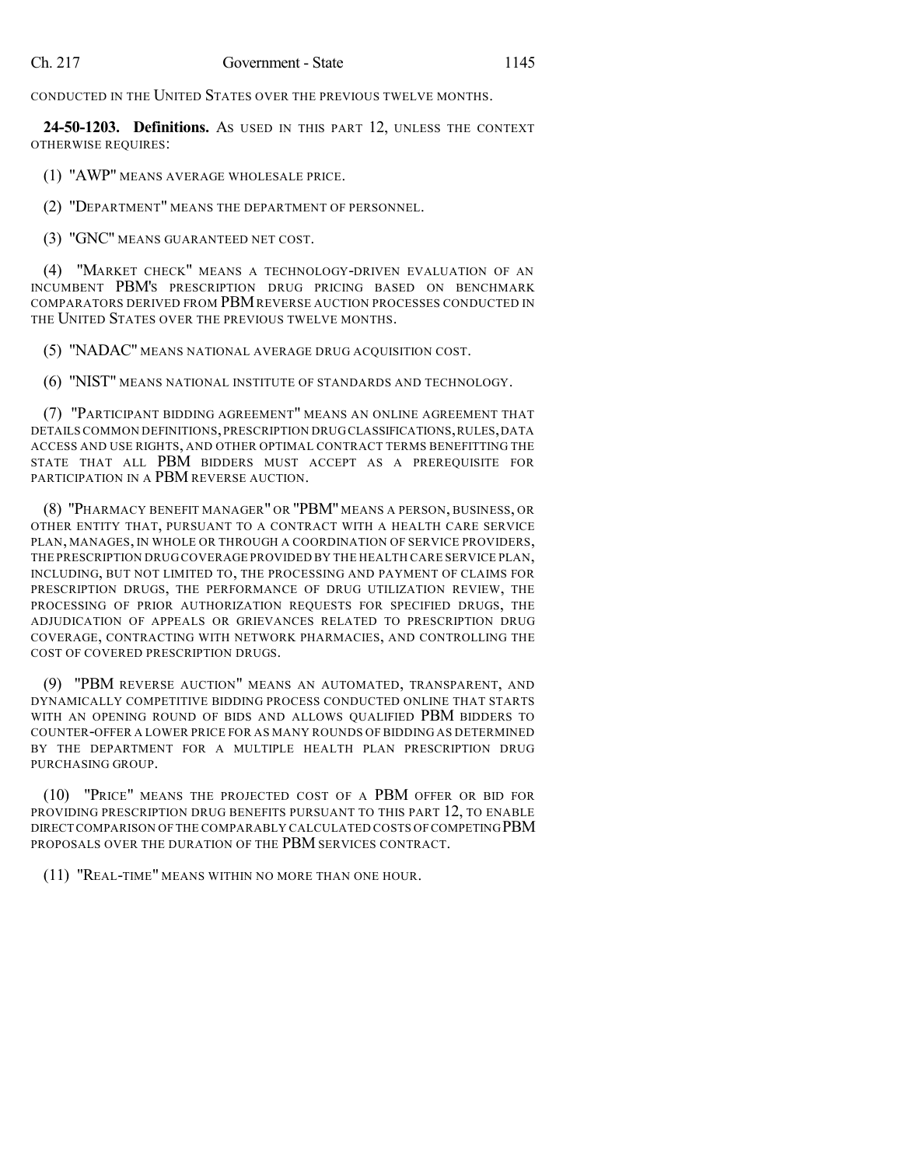CONDUCTED IN THE UNITED STATES OVER THE PREVIOUS TWELVE MONTHS.

**24-50-1203. Definitions.** AS USED IN THIS PART 12, UNLESS THE CONTEXT OTHERWISE REQUIRES:

(1) "AWP" MEANS AVERAGE WHOLESALE PRICE.

(2) "DEPARTMENT" MEANS THE DEPARTMENT OF PERSONNEL.

(3) "GNC" MEANS GUARANTEED NET COST.

(4) "MARKET CHECK" MEANS A TECHNOLOGY-DRIVEN EVALUATION OF AN INCUMBENT PBM'S PRESCRIPTION DRUG PRICING BASED ON BENCHMARK COMPARATORS DERIVED FROM PBMREVERSE AUCTION PROCESSES CONDUCTED IN THE UNITED STATES OVER THE PREVIOUS TWELVE MONTHS.

(5) "NADAC" MEANS NATIONAL AVERAGE DRUG ACQUISITION COST.

(6) "NIST" MEANS NATIONAL INSTITUTE OF STANDARDS AND TECHNOLOGY.

(7) "PARTICIPANT BIDDING AGREEMENT" MEANS AN ONLINE AGREEMENT THAT DETAILS COMMON DEFINITIONS,PRESCRIPTION DRUG CLASSIFICATIONS,RULES,DATA ACCESS AND USE RIGHTS, AND OTHER OPTIMAL CONTRACT TERMS BENEFITTING THE STATE THAT ALL PBM BIDDERS MUST ACCEPT AS A PREREQUISITE FOR PARTICIPATION IN A PBM REVERSE AUCTION.

(8) "PHARMACY BENEFIT MANAGER" OR "PBM" MEANS A PERSON, BUSINESS, OR OTHER ENTITY THAT, PURSUANT TO A CONTRACT WITH A HEALTH CARE SERVICE PLAN, MANAGES, IN WHOLE OR THROUGH A COORDINATION OF SERVICE PROVIDERS, THE PRESCRIPTION DRUG COVERAGE PROVIDED BY THE HEALTH CARE SERVICE PLAN, INCLUDING, BUT NOT LIMITED TO, THE PROCESSING AND PAYMENT OF CLAIMS FOR PRESCRIPTION DRUGS, THE PERFORMANCE OF DRUG UTILIZATION REVIEW, THE PROCESSING OF PRIOR AUTHORIZATION REQUESTS FOR SPECIFIED DRUGS, THE ADJUDICATION OF APPEALS OR GRIEVANCES RELATED TO PRESCRIPTION DRUG COVERAGE, CONTRACTING WITH NETWORK PHARMACIES, AND CONTROLLING THE COST OF COVERED PRESCRIPTION DRUGS.

(9) "PBM REVERSE AUCTION" MEANS AN AUTOMATED, TRANSPARENT, AND DYNAMICALLY COMPETITIVE BIDDING PROCESS CONDUCTED ONLINE THAT STARTS WITH AN OPENING ROUND OF BIDS AND ALLOWS QUALIFIED PBM BIDDERS TO COUNTER-OFFER A LOWER PRICE FOR AS MANY ROUNDS OF BIDDING AS DETERMINED BY THE DEPARTMENT FOR A MULTIPLE HEALTH PLAN PRESCRIPTION DRUG PURCHASING GROUP.

(10) "PRICE" MEANS THE PROJECTED COST OF A PBM OFFER OR BID FOR PROVIDING PRESCRIPTION DRUG BENEFITS PURSUANT TO THIS PART 12, TO ENABLE DIRECT COMPARISON OF THE COMPARABLY CALCULATED COSTS OF COMPETINGPBM PROPOSALS OVER THE DURATION OF THE PBM SERVICES CONTRACT.

(11) "REAL-TIME" MEANS WITHIN NO MORE THAN ONE HOUR.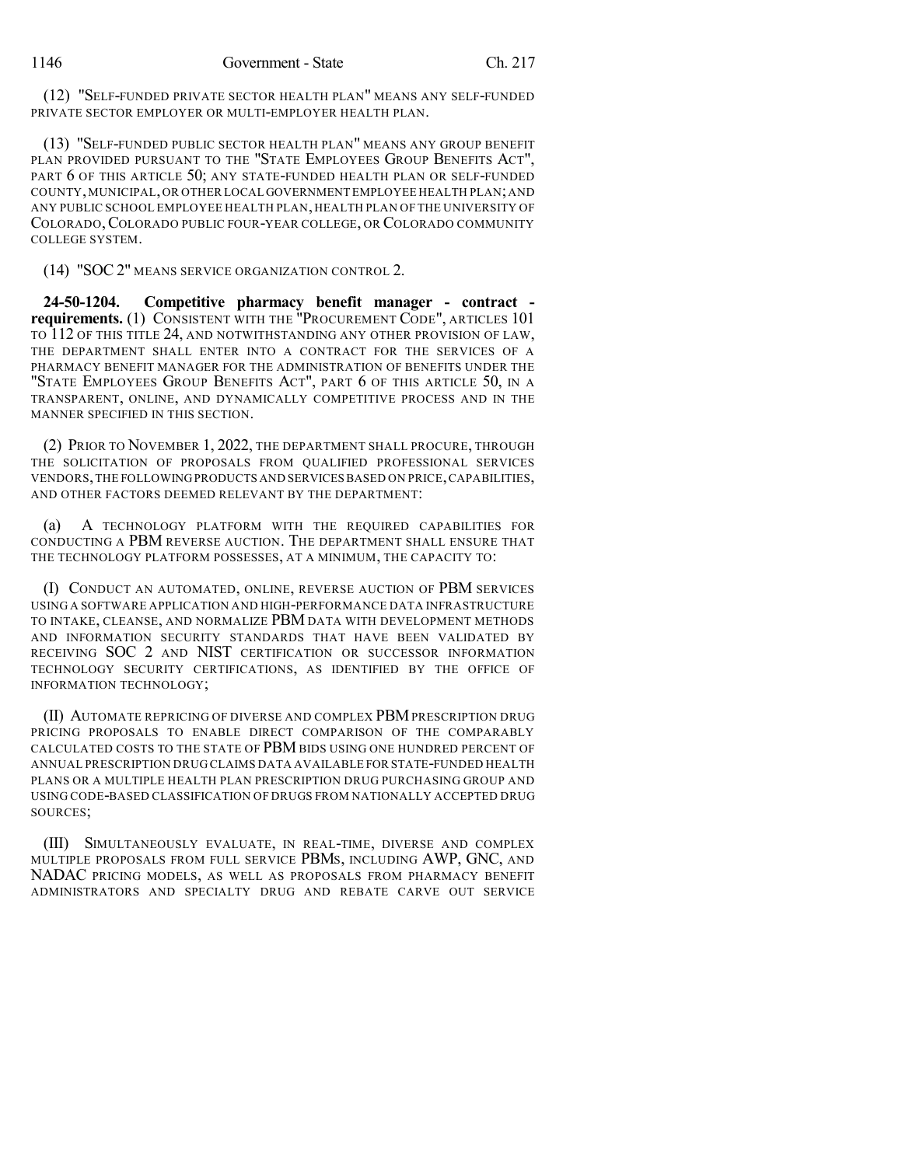(12) "SELF-FUNDED PRIVATE SECTOR HEALTH PLAN" MEANS ANY SELF-FUNDED PRIVATE SECTOR EMPLOYER OR MULTI-EMPLOYER HEALTH PLAN.

(13) "SELF-FUNDED PUBLIC SECTOR HEALTH PLAN" MEANS ANY GROUP BENEFIT PLAN PROVIDED PURSUANT TO THE "STATE EMPLOYEES GROUP BENEFITS ACT", PART 6 OF THIS ARTICLE 50; ANY STATE-FUNDED HEALTH PLAN OR SELF-FUNDED COUNTY,MUNICIPAL,OR OTHER LOCAL GOVERNMENT EMPLOYEE HEALTH PLAN;AND ANY PUBLIC SCHOOL EMPLOYEE HEALTH PLAN, HEALTH PLAN OF THE UNIVERSITY OF COLORADO,COLORADO PUBLIC FOUR-YEAR COLLEGE, OR COLORADO COMMUNITY COLLEGE SYSTEM.

(14) "SOC 2" MEANS SERVICE ORGANIZATION CONTROL 2.

**24-50-1204. Competitive pharmacy benefit manager - contract requirements.** (1) CONSISTENT WITH THE "PROCUREMENT CODE", ARTICLES 101 TO 112 OF THIS TITLE 24, AND NOTWITHSTANDING ANY OTHER PROVISION OF LAW, THE DEPARTMENT SHALL ENTER INTO A CONTRACT FOR THE SERVICES OF A PHARMACY BENEFIT MANAGER FOR THE ADMINISTRATION OF BENEFITS UNDER THE "STATE EMPLOYEES GROUP BENEFITS ACT", PART 6 OF THIS ARTICLE 50, IN A TRANSPARENT, ONLINE, AND DYNAMICALLY COMPETITIVE PROCESS AND IN THE MANNER SPECIFIED IN THIS SECTION.

(2) PRIOR TO NOVEMBER 1, 2022, THE DEPARTMENT SHALL PROCURE, THROUGH THE SOLICITATION OF PROPOSALS FROM QUALIFIED PROFESSIONAL SERVICES VENDORS,THE FOLLOWINGPRODUCTS AND SERVICESBASED ON PRICE,CAPABILITIES, AND OTHER FACTORS DEEMED RELEVANT BY THE DEPARTMENT:

(a) A TECHNOLOGY PLATFORM WITH THE REQUIRED CAPABILITIES FOR CONDUCTING A PBM REVERSE AUCTION. THE DEPARTMENT SHALL ENSURE THAT THE TECHNOLOGY PLATFORM POSSESSES, AT A MINIMUM, THE CAPACITY TO:

(I) CONDUCT AN AUTOMATED, ONLINE, REVERSE AUCTION OF PBM SERVICES USING A SOFTWARE APPLICATION AND HIGH-PERFORMANCE DATA INFRASTRUCTURE TO INTAKE, CLEANSE, AND NORMALIZE PBM DATA WITH DEVELOPMENT METHODS AND INFORMATION SECURITY STANDARDS THAT HAVE BEEN VALIDATED BY RECEIVING SOC 2 AND NIST CERTIFICATION OR SUCCESSOR INFORMATION TECHNOLOGY SECURITY CERTIFICATIONS, AS IDENTIFIED BY THE OFFICE OF INFORMATION TECHNOLOGY;

(II) AUTOMATE REPRICING OF DIVERSE AND COMPLEX PBMPRESCRIPTION DRUG PRICING PROPOSALS TO ENABLE DIRECT COMPARISON OF THE COMPARABLY CALCULATED COSTS TO THE STATE OF PBM BIDS USING ONE HUNDRED PERCENT OF ANNUAL PRESCRIPTION DRUG CLAIMS DATA AVAILABLE FOR STATE-FUNDED HEALTH PLANS OR A MULTIPLE HEALTH PLAN PRESCRIPTION DRUG PURCHASING GROUP AND USING CODE-BASED CLASSIFICATION OF DRUGS FROM NATIONALLY ACCEPTED DRUG SOURCES;

(III) SIMULTANEOUSLY EVALUATE, IN REAL-TIME, DIVERSE AND COMPLEX MULTIPLE PROPOSALS FROM FULL SERVICE PBMS, INCLUDING AWP, GNC, AND NADAC PRICING MODELS, AS WELL AS PROPOSALS FROM PHARMACY BENEFIT ADMINISTRATORS AND SPECIALTY DRUG AND REBATE CARVE OUT SERVICE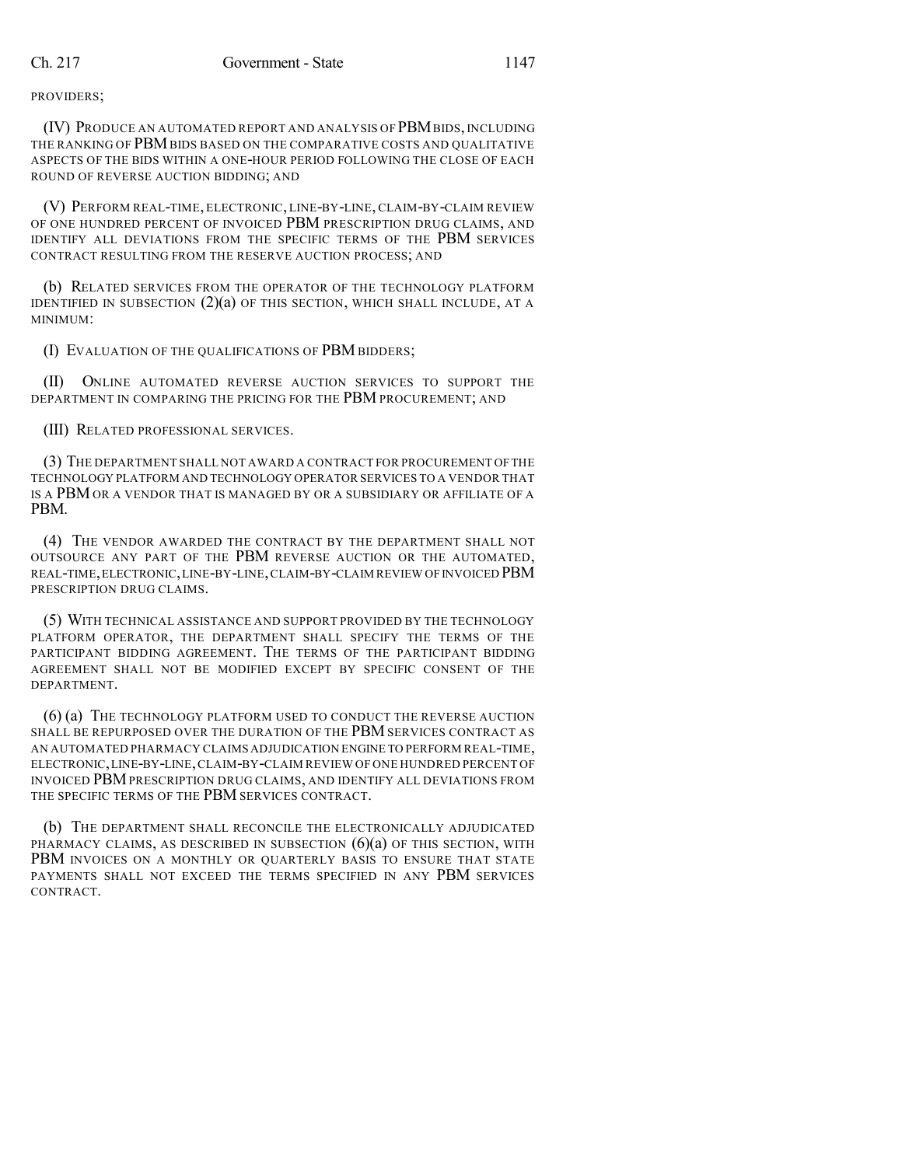PROVIDERS;

(IV) PRODUCE AN AUTOMATED REPORT AND ANALYSIS OF PBMBIDS, INCLUDING THE RANKING OF PBM BIDS BASED ON THE COMPARATIVE COSTS AND QUALITATIVE ASPECTS OF THE BIDS WITHIN A ONE-HOUR PERIOD FOLLOWING THE CLOSE OF EACH ROUND OF REVERSE AUCTION BIDDING; AND

(V) PERFORM REAL-TIME, ELECTRONIC, LINE-BY-LINE, CLAIM-BY-CLAIM REVIEW OF ONE HUNDRED PERCENT OF INVOICED PBM PRESCRIPTION DRUG CLAIMS, AND IDENTIFY ALL DEVIATIONS FROM THE SPECIFIC TERMS OF THE PBM SERVICES CONTRACT RESULTING FROM THE RESERVE AUCTION PROCESS; AND

(b) RELATED SERVICES FROM THE OPERATOR OF THE TECHNOLOGY PLATFORM IDENTIFIED IN SUBSECTION  $(2)(a)$  of this section, which shall include, at a MINIMUM:

(I) EVALUATION OF THE QUALIFICATIONS OF PBM BIDDERS;

(II) ONLINE AUTOMATED REVERSE AUCTION SERVICES TO SUPPORT THE DEPARTMENT IN COMPARING THE PRICING FOR THE PBM PROCUREMENT; AND

(III) RELATED PROFESSIONAL SERVICES.

(3) THE DEPARTMENT SHALL NOT AWARD A CONTRACT FOR PROCUREMENT OFTHE TECHNOLOGY PLATFORM AND TECHNOLOGY OPERATOR SERVICES TO A VENDOR THAT IS A PBM OR A VENDOR THAT IS MANAGED BY OR A SUBSIDIARY OR AFFILIATE OF A PBM.

(4) THE VENDOR AWARDED THE CONTRACT BY THE DEPARTMENT SHALL NOT OUTSOURCE ANY PART OF THE PBM REVERSE AUCTION OR THE AUTOMATED, REAL-TIME,ELECTRONIC,LINE-BY-LINE,CLAIM-BY-CLAIM REVIEW OFINVOICED PBM PRESCRIPTION DRUG CLAIMS.

(5) WITH TECHNICAL ASSISTANCE AND SUPPORT PROVIDED BY THE TECHNOLOGY PLATFORM OPERATOR, THE DEPARTMENT SHALL SPECIFY THE TERMS OF THE PARTICIPANT BIDDING AGREEMENT. THE TERMS OF THE PARTICIPANT BIDDING AGREEMENT SHALL NOT BE MODIFIED EXCEPT BY SPECIFIC CONSENT OF THE DEPARTMENT.

(6) (a) THE TECHNOLOGY PLATFORM USED TO CONDUCT THE REVERSE AUCTION SHALL BE REPURPOSED OVER THE DURATION OF THE PBM SERVICES CONTRACT AS AN AUTOMATED PHARMACY CLAIMS ADJUDICATION ENGINE TO PERFORM REAL-TIME, ELECTRONIC,LINE-BY-LINE,CLAIM-BY-CLAIM REVIEW OF ONE HUNDRED PERCENT OF INVOICED PBMPRESCRIPTION DRUG CLAIMS, AND IDENTIFY ALL DEVIATIONS FROM THE SPECIFIC TERMS OF THE PBM SERVICES CONTRACT.

(b) THE DEPARTMENT SHALL RECONCILE THE ELECTRONICALLY ADJUDICATED PHARMACY CLAIMS, AS DESCRIBED IN SUBSECTION  $(6)(a)$  OF THIS SECTION, WITH PBM INVOICES ON A MONTHLY OR QUARTERLY BASIS TO ENSURE THAT STATE PAYMENTS SHALL NOT EXCEED THE TERMS SPECIFIED IN ANY PBM SERVICES CONTRACT.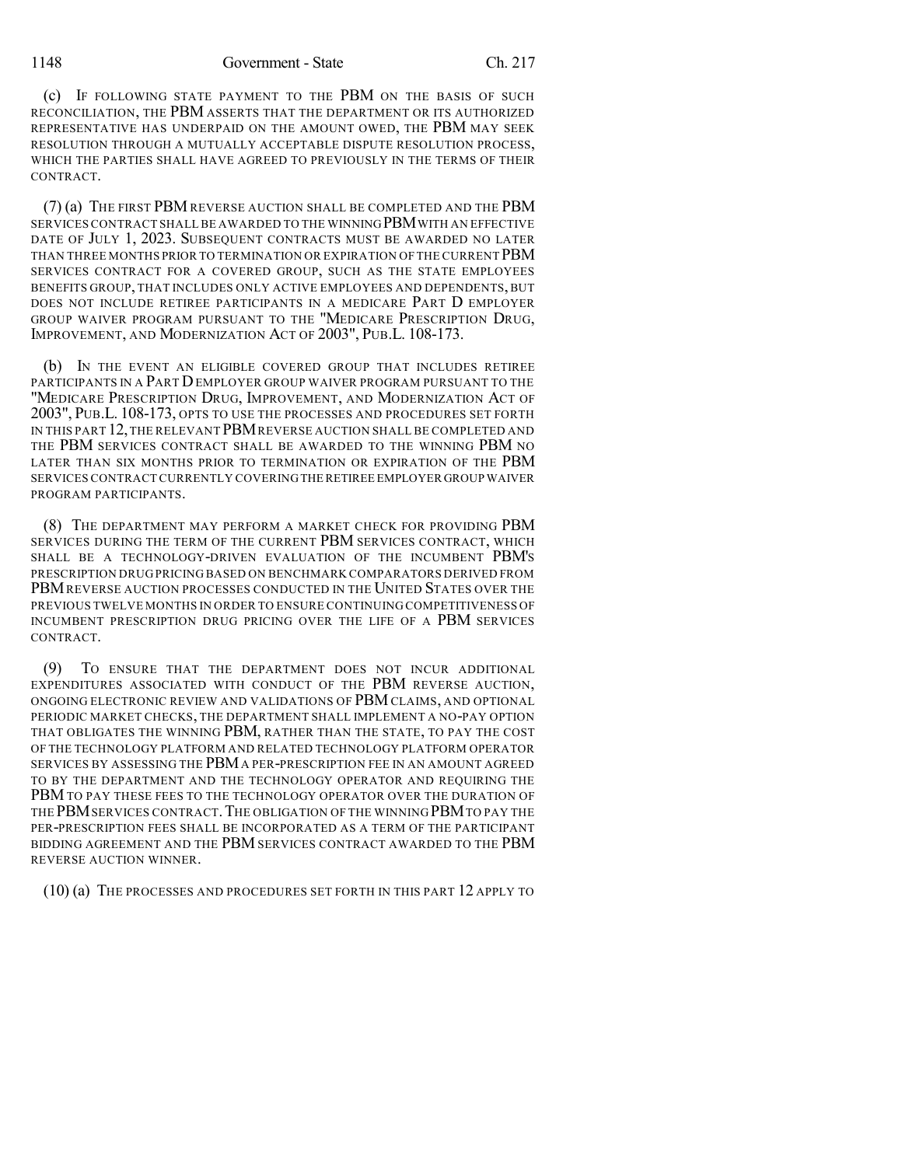1148 Government - State Ch. 217

(c) IF FOLLOWING STATE PAYMENT TO THE PBM ON THE BASIS OF SUCH RECONCILIATION, THE PBM ASSERTS THAT THE DEPARTMENT OR ITS AUTHORIZED REPRESENTATIVE HAS UNDERPAID ON THE AMOUNT OWED, THE PBM MAY SEEK RESOLUTION THROUGH A MUTUALLY ACCEPTABLE DISPUTE RESOLUTION PROCESS, WHICH THE PARTIES SHALL HAVE AGREED TO PREVIOUSLY IN THE TERMS OF THEIR CONTRACT.

(7) (a) THE FIRST PBM REVERSE AUCTION SHALL BE COMPLETED AND THE PBM SERVICES CONTRACT SHALL BE AWARDED TO THE WINNING PBM WITH AN EFFECTIVE DATE OF JULY 1, 2023. SUBSEQUENT CONTRACTS MUST BE AWARDED NO LATER THAN THREE MONTHS PRIOR TO TERMINATION OR EXPIRATION OF THE CURRENT  $\rm PBM$ SERVICES CONTRACT FOR A COVERED GROUP, SUCH AS THE STATE EMPLOYEES BENEFITS GROUP, THAT INCLUDES ONLY ACTIVE EMPLOYEES AND DEPENDENTS, BUT DOES NOT INCLUDE RETIREE PARTICIPANTS IN A MEDICARE PART D EMPLOYER GROUP WAIVER PROGRAM PURSUANT TO THE "MEDICARE PRESCRIPTION DRUG, IMPROVEMENT, AND MODERNIZATION ACT OF 2003", PUB.L. 108-173.

(b) IN THE EVENT AN ELIGIBLE COVERED GROUP THAT INCLUDES RETIREE PARTICIPANTS IN A PART DEMPLOYER GROUP WAIVER PROGRAM PURSUANT TO THE "MEDICARE PRESCRIPTION DRUG, IMPROVEMENT, AND MODERNIZATION ACT OF 2003", PUB.L. 108-173, OPTS TO USE THE PROCESSES AND PROCEDURES SET FORTH IN THIS PART 12,THE RELEVANT PBMREVERSE AUCTION SHALL BE COMPLETED AND THE PBM SERVICES CONTRACT SHALL BE AWARDED TO THE WINNING PBM NO LATER THAN SIX MONTHS PRIOR TO TERMINATION OR EXPIRATION OF THE PBM SERVICES CONTRACTCURRENTLY COVERINGTHE RETIREE EMPLOYER GROUP WAIVER PROGRAM PARTICIPANTS.

(8) THE DEPARTMENT MAY PERFORM A MARKET CHECK FOR PROVIDING PBM SERVICES DURING THE TERM OF THE CURRENT PBM SERVICES CONTRACT, WHICH SHALL BE A TECHNOLOGY-DRIVEN EVALUATION OF THE INCUMBENT PBM'S PRESCRIPTION DRUGPRICING BASED ON BENCHMARK COMPARATORS DERIVED FROM PBM REVERSE AUCTION PROCESSES CONDUCTED IN THE UNITED STATES OVER THE PREVIOUS TWELVE MONTHS IN ORDER TO ENSURE CONTINUING COMPETITIVENESS OF INCUMBENT PRESCRIPTION DRUG PRICING OVER THE LIFE OF A PBM SERVICES CONTRACT.

(9) TO ENSURE THAT THE DEPARTMENT DOES NOT INCUR ADDITIONAL EXPENDITURES ASSOCIATED WITH CONDUCT OF THE PBM REVERSE AUCTION, ONGOING ELECTRONIC REVIEW AND VALIDATIONS OF PBMCLAIMS, AND OPTIONAL PERIODIC MARKET CHECKS, THE DEPARTMENT SHALL IMPLEMENT A NO-PAY OPTION THAT OBLIGATES THE WINNING PBM, RATHER THAN THE STATE, TO PAY THE COST OF THE TECHNOLOGY PLATFORM AND RELATED TECHNOLOGY PLATFORM OPERATOR SERVICES BY ASSESSING THE PBMA PER-PRESCRIPTION FEE IN AN AMOUNT AGREED TO BY THE DEPARTMENT AND THE TECHNOLOGY OPERATOR AND REQUIRING THE PBM TO PAY THESE FEES TO THE TECHNOLOGY OPERATOR OVER THE DURATION OF THE PBM SERVICES CONTRACT. THE OBLIGATION OF THE WINNING PBM TO PAY THE PER-PRESCRIPTION FEES SHALL BE INCORPORATED AS A TERM OF THE PARTICIPANT BIDDING AGREEMENT AND THE PBM SERVICES CONTRACT AWARDED TO THE PBM REVERSE AUCTION WINNER.

(10) (a) THE PROCESSES AND PROCEDURES SET FORTH IN THIS PART 12 APPLY TO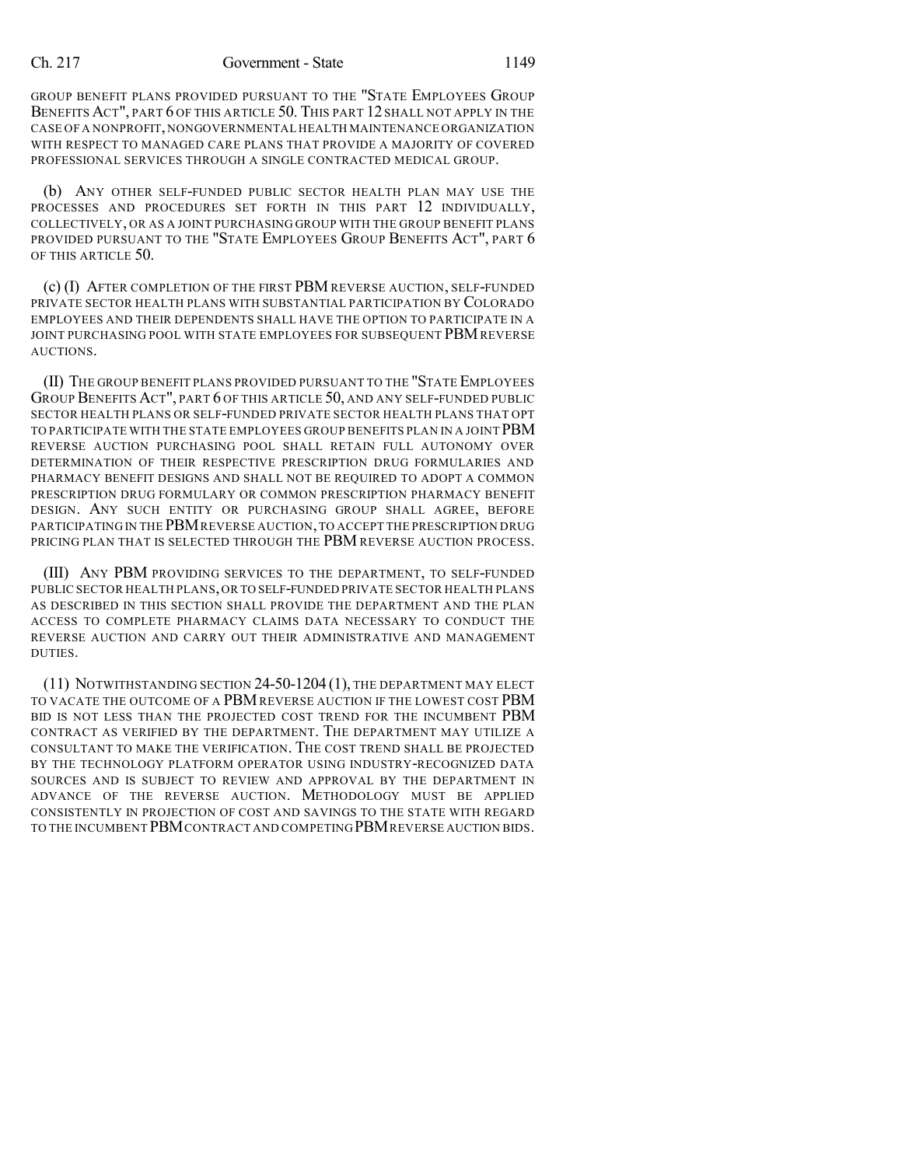GROUP BENEFIT PLANS PROVIDED PURSUANT TO THE "STATE EMPLOYEES GROUP BENEFITS ACT", PART 6 OF THIS ARTICLE 50. THIS PART 12 SHALL NOT APPLY IN THE CASE OF A NONPROFIT,NONGOVERNMENTAL HEALTH MAINTENANCE ORGANIZATION WITH RESPECT TO MANAGED CARE PLANS THAT PROVIDE A MAJORITY OF COVERED PROFESSIONAL SERVICES THROUGH A SINGLE CONTRACTED MEDICAL GROUP.

(b) ANY OTHER SELF-FUNDED PUBLIC SECTOR HEALTH PLAN MAY USE THE PROCESSES AND PROCEDURES SET FORTH IN THIS PART 12 INDIVIDUALLY, COLLECTIVELY, OR AS A JOINT PURCHASING GROUP WITH THE GROUP BENEFIT PLANS PROVIDED PURSUANT TO THE "STATE EMPLOYEES GROUP BENEFITS ACT", PART 6 OF THIS ARTICLE 50.

(c) (I) AFTER COMPLETION OF THE FIRST PBM REVERSE AUCTION, SELF-FUNDED PRIVATE SECTOR HEALTH PLANS WITH SUBSTANTIAL PARTICIPATION BY COLORADO EMPLOYEES AND THEIR DEPENDENTS SHALL HAVE THE OPTION TO PARTICIPATE IN A JOINT PURCHASING POOL WITH STATE EMPLOYEES FOR SUBSEQUENT PBM REVERSE AUCTIONS.

(II) THE GROUP BENEFIT PLANS PROVIDED PURSUANT TO THE "STATE EMPLOYEES GROUP BENEFITS ACT", PART 6 OF THIS ARTICLE 50, AND ANY SELF-FUNDED PUBLIC SECTOR HEALTH PLANS OR SELF-FUNDED PRIVATE SECTOR HEALTH PLANS THAT OPT TO PARTICIPATE WITH THE STATE EMPLOYEES GROUP BENEFITS PLAN IN A JOINT PBM REVERSE AUCTION PURCHASING POOL SHALL RETAIN FULL AUTONOMY OVER DETERMINATION OF THEIR RESPECTIVE PRESCRIPTION DRUG FORMULARIES AND PHARMACY BENEFIT DESIGNS AND SHALL NOT BE REQUIRED TO ADOPT A COMMON PRESCRIPTION DRUG FORMULARY OR COMMON PRESCRIPTION PHARMACY BENEFIT DESIGN. ANY SUCH ENTITY OR PURCHASING GROUP SHALL AGREE, BEFORE PARTICIPATING IN THE PBM REVERSE AUCTION, TO ACCEPT THE PRESCRIPTION DRUG PRICING PLAN THAT IS SELECTED THROUGH THE PBM REVERSE AUCTION PROCESS.

(III) ANY PBM PROVIDING SERVICES TO THE DEPARTMENT, TO SELF-FUNDED PUBLIC SECTOR HEALTH PLANS,OR TO SELF-FUNDED PRIVATE SECTOR HEALTH PLANS AS DESCRIBED IN THIS SECTION SHALL PROVIDE THE DEPARTMENT AND THE PLAN ACCESS TO COMPLETE PHARMACY CLAIMS DATA NECESSARY TO CONDUCT THE REVERSE AUCTION AND CARRY OUT THEIR ADMINISTRATIVE AND MANAGEMENT DUTIES.

(11) NOTWITHSTANDING SECTION 24-50-1204 (1), THE DEPARTMENT MAY ELECT TO VACATE THE OUTCOME OF A PBM REVERSE AUCTION IF THE LOWEST COST PBM BID IS NOT LESS THAN THE PROJECTED COST TREND FOR THE INCUMBENT PBM CONTRACT AS VERIFIED BY THE DEPARTMENT. THE DEPARTMENT MAY UTILIZE A CONSULTANT TO MAKE THE VERIFICATION. THE COST TREND SHALL BE PROJECTED BY THE TECHNOLOGY PLATFORM OPERATOR USING INDUSTRY-RECOGNIZED DATA SOURCES AND IS SUBJECT TO REVIEW AND APPROVAL BY THE DEPARTMENT IN ADVANCE OF THE REVERSE AUCTION. METHODOLOGY MUST BE APPLIED CONSISTENTLY IN PROJECTION OF COST AND SAVINGS TO THE STATE WITH REGARD TO THE INCUMBENT PBMCONTRACT AND COMPETING PBMREVERSE AUCTION BIDS.